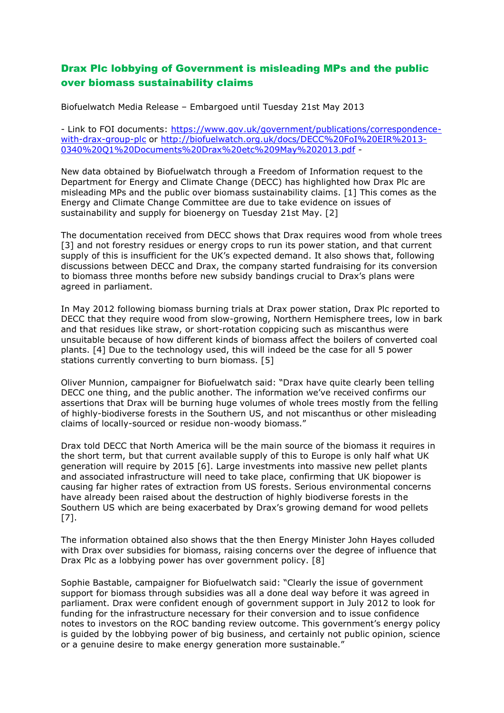## Drax Plc lobbying of Government is misleading MPs and the public over biomass sustainability claims

Biofuelwatch Media Release – Embargoed until Tuesday 21st May 2013

- Link to FOI documents: [https://www.gov.uk/government/publications/correspondence](https://www.gov.uk/government/publications/correspondence-with-drax-group-plc)[with-drax-group-plc](https://www.gov.uk/government/publications/correspondence-with-drax-group-plc) or [http://biofuelwatch.org.uk/docs/DECC%20FoI%20EIR%2013-](http://biofuelwatch.org.uk/docs/DECC%20FoI%20EIR%2013-0340%20Q1%20Documents%20Drax%20etc%209May%202013.pdf) [0340%20Q1%20Documents%20Drax%20etc%209May%202013.pdf](http://biofuelwatch.org.uk/docs/DECC%20FoI%20EIR%2013-0340%20Q1%20Documents%20Drax%20etc%209May%202013.pdf) -

New data obtained by Biofuelwatch through a Freedom of Information request to the Department for Energy and Climate Change (DECC) has highlighted how Drax Plc are misleading MPs and the public over biomass sustainability claims. [1] This comes as the Energy and Climate Change Committee are due to take evidence on issues of sustainability and supply for bioenergy on Tuesday 21st May. [2]

The documentation received from DECC shows that Drax requires wood from whole trees [3] and not forestry residues or energy crops to run its power station, and that current supply of this is insufficient for the UK's expected demand. It also shows that, following discussions between DECC and Drax, the company started fundraising for its conversion to biomass three months before new subsidy bandings crucial to Drax's plans were agreed in parliament.

In May 2012 following biomass burning trials at Drax power station, Drax Plc reported to DECC that they require wood from slow-growing, Northern Hemisphere trees, low in bark and that residues like straw, or short-rotation coppicing such as miscanthus were unsuitable because of how different kinds of biomass affect the boilers of converted coal plants. [4] Due to the technology used, this will indeed be the case for all 5 power stations currently converting to burn biomass. [5]

Oliver Munnion, campaigner for Biofuelwatch said: "Drax have quite clearly been telling DECC one thing, and the public another. The information we've received confirms our assertions that Drax will be burning huge volumes of whole trees mostly from the felling of highly-biodiverse forests in the Southern US, and not miscanthus or other misleading claims of locally-sourced or residue non-woody biomass."

Drax told DECC that North America will be the main source of the biomass it requires in the short term, but that current available supply of this to Europe is only half what UK generation will require by 2015 [6]. Large investments into massive new pellet plants and associated infrastructure will need to take place, confirming that UK biopower is causing far higher rates of extraction from US forests. Serious environmental concerns have already been raised about the destruction of highly biodiverse forests in the Southern US which are being exacerbated by Drax's growing demand for wood pellets [7].

The information obtained also shows that the then Energy Minister John Hayes colluded with Drax over subsidies for biomass, raising concerns over the degree of influence that Drax Plc as a lobbying power has over government policy. [8]

Sophie Bastable, campaigner for Biofuelwatch said: "Clearly the issue of government support for biomass through subsidies was all a done deal way before it was agreed in parliament. Drax were confident enough of government support in July 2012 to look for funding for the infrastructure necessary for their conversion and to issue confidence notes to investors on the ROC banding review outcome. This government's energy policy is guided by the lobbying power of big business, and certainly not public opinion, science or a genuine desire to make energy generation more sustainable."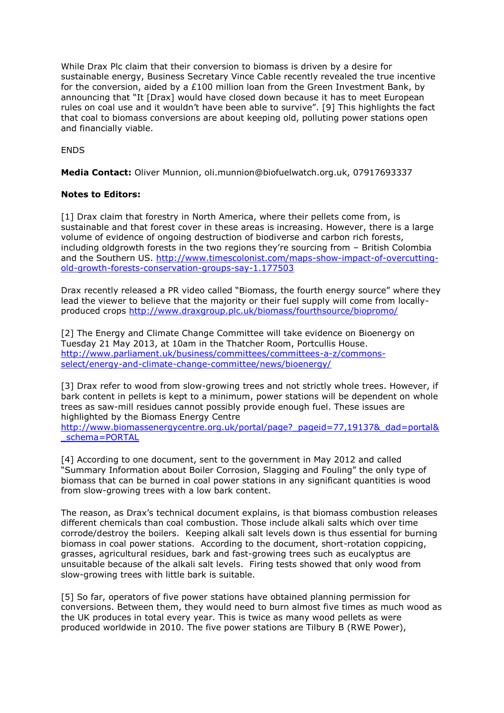While Drax Plc claim that their conversion to biomass is driven by a desire for sustainable energy, Business Secretary Vince Cable recently revealed the true incentive for the conversion, aided by a £100 million loan from the Green Investment Bank, by announcing that "It [Drax] would have closed down because it has to meet European rules on coal use and it wouldn't have been able to survive". [9] This highlights the fact that coal to biomass conversions are about keeping old, polluting power stations open and financially viable.

ENDS

**Media Contact:** Oliver Munnion, oli.munnion@biofuelwatch.org.uk, 07917693337

## **Notes to Editors:**

[1] Drax claim that forestry in North America, where their pellets come from, is sustainable and that forest cover in these areas is increasing. However, there is a large volume of evidence of ongoing destruction of biodiverse and carbon rich forests, including oldgrowth forests in the two regions they're sourcing from – British Colombia and the Southern US. [http://www.timescolonist.com/maps-show-impact-of-overcutting](http://www.timescolonist.com/maps-show-impact-of-overcutting-old-growth-forests-conservation-groups-say-1.177503)[old-growth-forests-conservation-groups-say-1.177503](http://www.timescolonist.com/maps-show-impact-of-overcutting-old-growth-forests-conservation-groups-say-1.177503)

Drax recently released a PR video called "Biomass, the fourth energy source" where they lead the viewer to believe that the majority or their fuel supply will come from locallyproduced crops<http://www.draxgroup.plc.uk/biomass/fourthsource/biopromo/>

[2] The Energy and Climate Change Committee will take evidence on Bioenergy on Tuesday 21 May 2013, at 10am in the Thatcher Room, Portcullis House. [http://www.parliament.uk/business/committees/committees-a-z/commons](http://www.parliament.uk/business/committees/committees-a-z/commons-select/energy-and-climate-change-committee/news/bioenergy/)[select/energy-and-climate-change-committee/news/bioenergy/](http://www.parliament.uk/business/committees/committees-a-z/commons-select/energy-and-climate-change-committee/news/bioenergy/)

[3] Drax refer to wood from slow-growing trees and not strictly whole trees. However, if bark content in pellets is kept to a minimum, power stations will be dependent on whole trees as saw-mill residues cannot possibly provide enough fuel. These issues are highlighted by the Biomass Energy Centre

[http://www.biomassenergycentre.org.uk/portal/page?\\_pageid=77,19137&\\_dad=portal&](http://www.biomassenergycentre.org.uk/portal/page?_pageid=77,19137&_dad=portal&_schema=PORTAL) [\\_schema=PORTAL](http://www.biomassenergycentre.org.uk/portal/page?_pageid=77,19137&_dad=portal&_schema=PORTAL)

[4] According to one document, sent to the government in May 2012 and called "Summary Information about Boiler Corrosion, Slagging and Fouling" the only type of biomass that can be burned in coal power stations in any significant quantities is wood from slow-growing trees with a low bark content.

The reason, as Drax's technical document explains, is that biomass combustion releases different chemicals than coal combustion. Those include alkali salts which over time corrode/destroy the boilers. Keeping alkali salt levels down is thus essential for burning biomass in coal power stations. According to the document, short-rotation coppicing, grasses, agricultural residues, bark and fast-growing trees such as eucalyptus are unsuitable because of the alkali salt levels. Firing tests showed that only wood from slow-growing trees with little bark is suitable.

[5] So far, operators of five power stations have obtained planning permission for conversions. Between them, they would need to burn almost five times as much wood as the UK produces in total every year. This is twice as many wood pellets as were produced worldwide in 2010. The five power stations are Tilbury B (RWE Power),